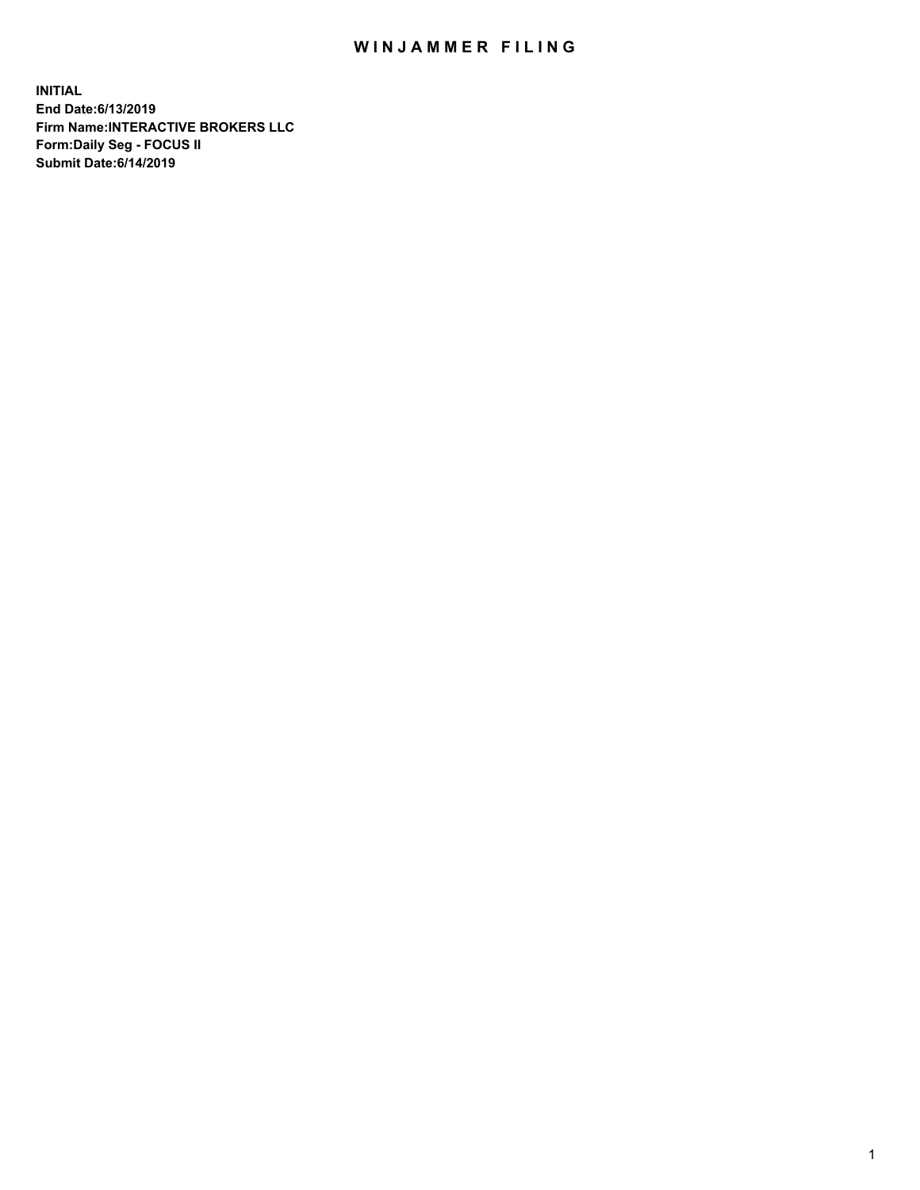## WIN JAMMER FILING

**INITIAL End Date:6/13/2019 Firm Name:INTERACTIVE BROKERS LLC Form:Daily Seg - FOCUS II Submit Date:6/14/2019**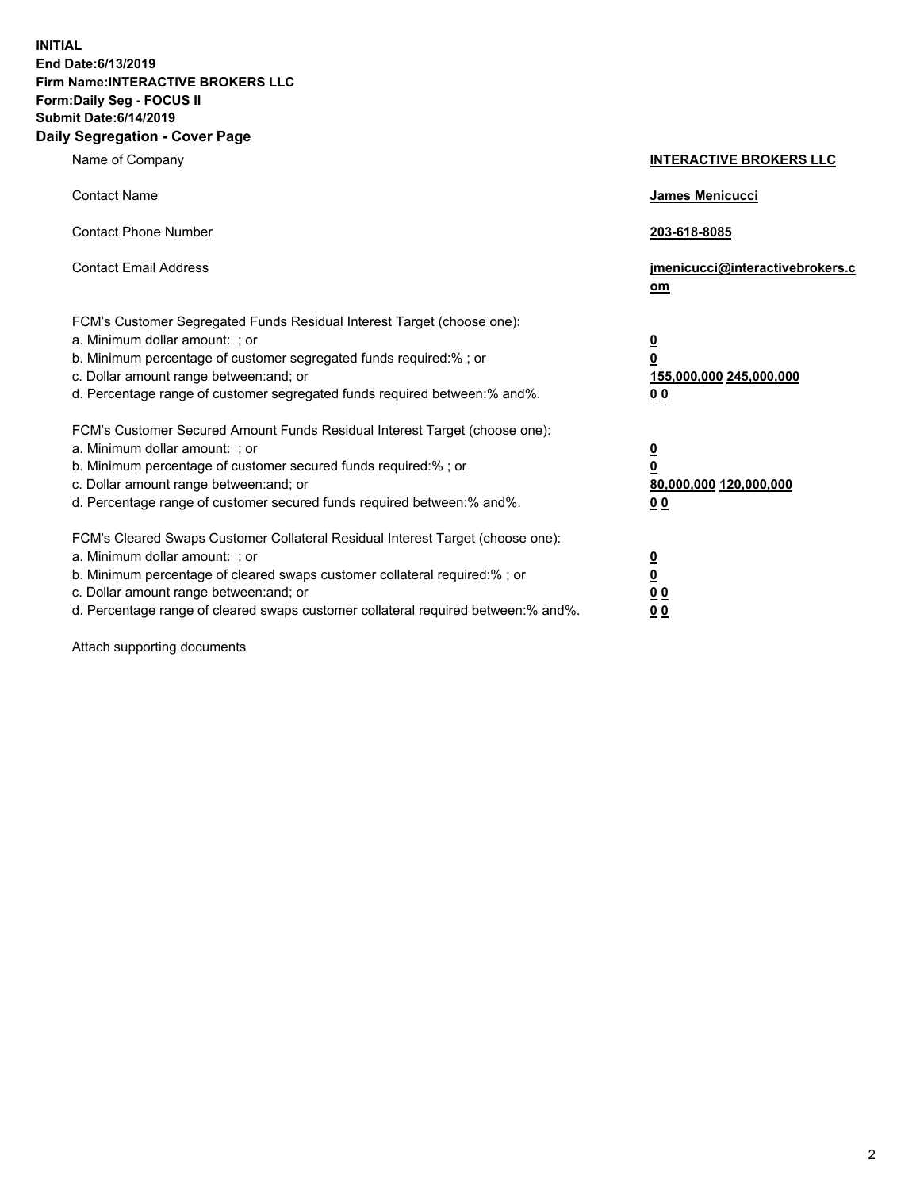**INITIAL End Date:6/13/2019 Firm Name:INTERACTIVE BROKERS LLC Form:Daily Seg - FOCUS II Submit Date:6/14/2019 Daily Segregation - Cover Page**

| Name of Company                                                                                                                                                                                                                                                                                                                | <b>INTERACTIVE BROKERS LLC</b>                                                                  |
|--------------------------------------------------------------------------------------------------------------------------------------------------------------------------------------------------------------------------------------------------------------------------------------------------------------------------------|-------------------------------------------------------------------------------------------------|
| <b>Contact Name</b>                                                                                                                                                                                                                                                                                                            | James Menicucci                                                                                 |
| <b>Contact Phone Number</b>                                                                                                                                                                                                                                                                                                    | 203-618-8085                                                                                    |
| <b>Contact Email Address</b>                                                                                                                                                                                                                                                                                                   | jmenicucci@interactivebrokers.c<br>om                                                           |
| FCM's Customer Segregated Funds Residual Interest Target (choose one):<br>a. Minimum dollar amount: ; or<br>b. Minimum percentage of customer segregated funds required:% ; or<br>c. Dollar amount range between: and; or<br>d. Percentage range of customer segregated funds required between:% and%.                         | $\overline{\mathbf{0}}$<br>$\overline{\mathbf{0}}$<br>155,000,000 245,000,000<br>0 <sub>0</sub> |
| FCM's Customer Secured Amount Funds Residual Interest Target (choose one):<br>a. Minimum dollar amount: ; or<br>b. Minimum percentage of customer secured funds required:% ; or<br>c. Dollar amount range between: and; or<br>d. Percentage range of customer secured funds required between:% and%.                           | $\overline{\mathbf{0}}$<br>0<br>80,000,000 120,000,000<br>0 <sub>0</sub>                        |
| FCM's Cleared Swaps Customer Collateral Residual Interest Target (choose one):<br>a. Minimum dollar amount: ; or<br>b. Minimum percentage of cleared swaps customer collateral required:% ; or<br>c. Dollar amount range between: and; or<br>d. Percentage range of cleared swaps customer collateral required between:% and%. | $\overline{\mathbf{0}}$<br><u>0</u><br>$\underline{0}$ $\underline{0}$<br>00                    |

Attach supporting documents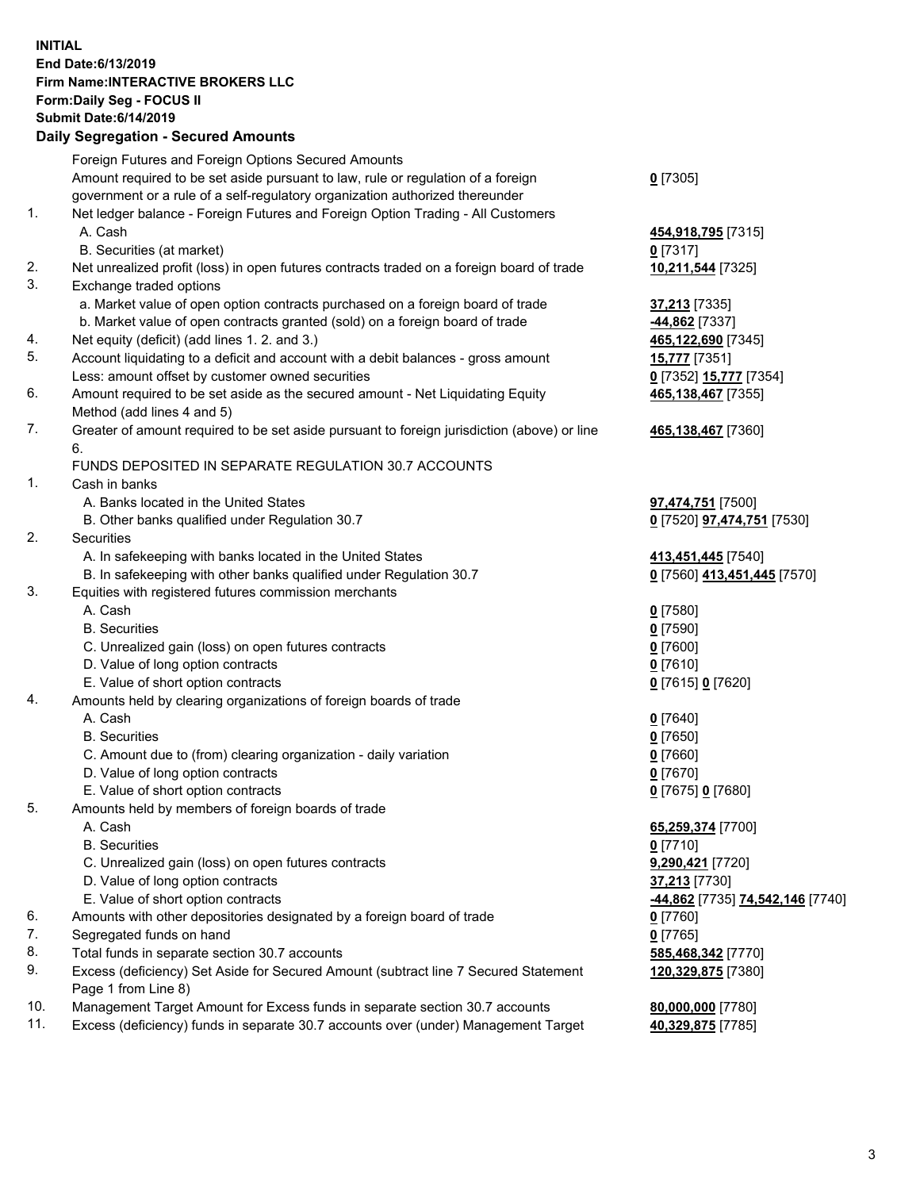## **INITIAL End Date:6/13/2019 Firm Name:INTERACTIVE BROKERS LLC Form:Daily Seg - FOCUS II Submit Date:6/14/2019 Daily Segregation - Secured Amounts**

|                | Dany Segregation - Secured Announts                                                                          |                                   |
|----------------|--------------------------------------------------------------------------------------------------------------|-----------------------------------|
|                | Foreign Futures and Foreign Options Secured Amounts                                                          |                                   |
|                | Amount required to be set aside pursuant to law, rule or regulation of a foreign                             | $0$ [7305]                        |
|                | government or a rule of a self-regulatory organization authorized thereunder                                 |                                   |
| $\mathbf{1}$ . | Net ledger balance - Foreign Futures and Foreign Option Trading - All Customers                              |                                   |
|                | A. Cash                                                                                                      | 454,918,795 [7315]                |
|                | B. Securities (at market)                                                                                    | $0$ [7317]                        |
| 2.             | Net unrealized profit (loss) in open futures contracts traded on a foreign board of trade                    | 10,211,544 [7325]                 |
| 3.             | Exchange traded options                                                                                      |                                   |
|                | a. Market value of open option contracts purchased on a foreign board of trade                               | 37,213 [7335]                     |
|                | b. Market value of open contracts granted (sold) on a foreign board of trade                                 | -44,862 [7337]                    |
| 4.             | Net equity (deficit) (add lines 1. 2. and 3.)                                                                | 465,122,690 [7345]                |
| 5.             | Account liquidating to a deficit and account with a debit balances - gross amount                            | <b>15,777</b> [7351]              |
|                | Less: amount offset by customer owned securities                                                             | 0 [7352] 15,777 [7354]            |
| 6.             | Amount required to be set aside as the secured amount - Net Liquidating Equity                               | 465,138,467 [7355]                |
| 7.             | Method (add lines 4 and 5)                                                                                   |                                   |
|                | Greater of amount required to be set aside pursuant to foreign jurisdiction (above) or line<br>6.            | 465,138,467 [7360]                |
|                | FUNDS DEPOSITED IN SEPARATE REGULATION 30.7 ACCOUNTS                                                         |                                   |
| 1.             | Cash in banks                                                                                                |                                   |
|                | A. Banks located in the United States                                                                        | 97,474,751 [7500]                 |
|                | B. Other banks qualified under Regulation 30.7                                                               | 0 [7520] <b>97,474,751</b> [7530] |
| 2.             | <b>Securities</b>                                                                                            |                                   |
|                | A. In safekeeping with banks located in the United States                                                    | 413,451,445 [7540]                |
|                | B. In safekeeping with other banks qualified under Regulation 30.7                                           | 0 [7560] 413,451,445 [7570]       |
| 3.             | Equities with registered futures commission merchants                                                        |                                   |
|                | A. Cash                                                                                                      | $0$ [7580]                        |
|                | <b>B.</b> Securities                                                                                         | $0$ [7590]                        |
|                | C. Unrealized gain (loss) on open futures contracts                                                          | $0$ [7600]                        |
|                | D. Value of long option contracts                                                                            | $0$ [7610]                        |
|                | E. Value of short option contracts                                                                           | 0 [7615] 0 [7620]                 |
| 4.             | Amounts held by clearing organizations of foreign boards of trade                                            |                                   |
|                | A. Cash                                                                                                      | $0$ [7640]                        |
|                | <b>B.</b> Securities                                                                                         | $0$ [7650]                        |
|                | C. Amount due to (from) clearing organization - daily variation                                              | $0$ [7660]                        |
|                | D. Value of long option contracts                                                                            | $0$ [7670]                        |
|                | E. Value of short option contracts                                                                           | 0 [7675] 0 [7680]                 |
| 5.             | Amounts held by members of foreign boards of trade                                                           |                                   |
|                | A. Cash                                                                                                      | 65,259,374 [7700]                 |
|                | <b>B.</b> Securities                                                                                         | $0$ [7710]                        |
|                | C. Unrealized gain (loss) on open futures contracts                                                          | 9,290,421 [7720]                  |
|                | D. Value of long option contracts                                                                            | 37,213 [7730]                     |
| 6.             | E. Value of short option contracts<br>Amounts with other depositories designated by a foreign board of trade | -44,862 [7735] 74,542,146 [7740]  |
| 7.             | Segregated funds on hand                                                                                     | 0 [7760]<br>$0$ [7765]            |
| 8.             | Total funds in separate section 30.7 accounts                                                                | 585,468,342 [7770]                |
| 9.             | Excess (deficiency) Set Aside for Secured Amount (subtract line 7 Secured Statement                          | 120,329,875 [7380]                |
|                | Page 1 from Line 8)                                                                                          |                                   |
| 10.            | Management Target Amount for Excess funds in separate section 30.7 accounts                                  | 80,000,000 [7780]                 |
| 11.            | Excess (deficiency) funds in separate 30.7 accounts over (under) Management Target                           | 40,329,875 [7785]                 |
|                |                                                                                                              |                                   |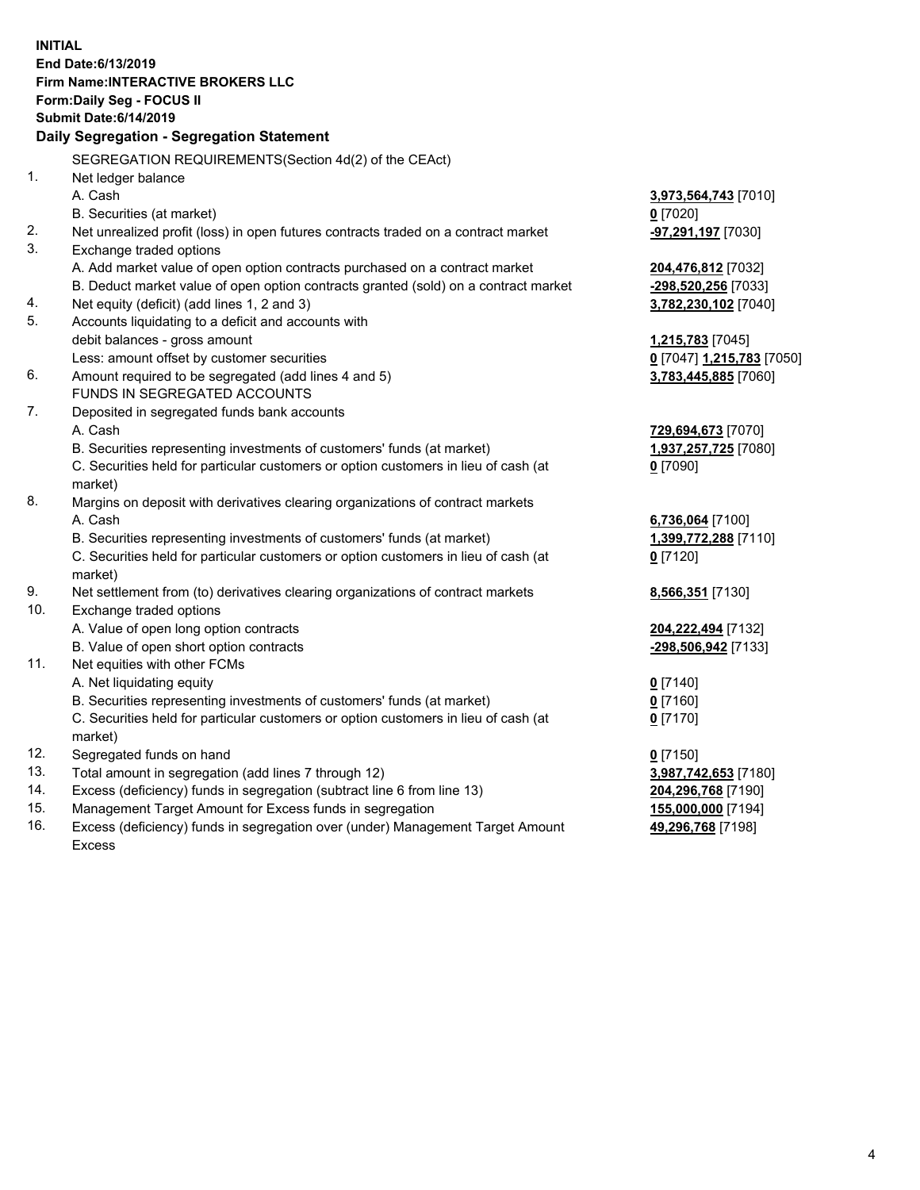**INITIAL End Date:6/13/2019 Firm Name:INTERACTIVE BROKERS LLC Form:Daily Seg - FOCUS II Submit Date:6/14/2019 Daily Segregation - Segregation Statement** SEGREGATION REQUIREMENTS(Section 4d(2) of the CEAct) 1. Net ledger balance A. Cash **3,973,564,743** [7010] B. Securities (at market) **0** [7020] 2. Net unrealized profit (loss) in open futures contracts traded on a contract market **-97,291,197** [7030] 3. Exchange traded options A. Add market value of open option contracts purchased on a contract market **204,476,812** [7032] B. Deduct market value of open option contracts granted (sold) on a contract market **-298,520,256** [7033] 4. Net equity (deficit) (add lines 1, 2 and 3) **3,782,230,102** [7040] 5. Accounts liquidating to a deficit and accounts with debit balances - gross amount **1,215,783** [7045] Less: amount offset by customer securities **0** [7047] **1,215,783** [7050] 6. Amount required to be segregated (add lines 4 and 5) **3,783,445,885** [7060] FUNDS IN SEGREGATED ACCOUNTS 7. Deposited in segregated funds bank accounts A. Cash **729,694,673** [7070] B. Securities representing investments of customers' funds (at market) **1,937,257,725** [7080] C. Securities held for particular customers or option customers in lieu of cash (at market) **0** [7090] 8. Margins on deposit with derivatives clearing organizations of contract markets A. Cash **6,736,064** [7100] B. Securities representing investments of customers' funds (at market) **1,399,772,288** [7110] C. Securities held for particular customers or option customers in lieu of cash (at market) **0** [7120] 9. Net settlement from (to) derivatives clearing organizations of contract markets **8,566,351** [7130] 10. Exchange traded options A. Value of open long option contracts **204,222,494** [7132] B. Value of open short option contracts **-298,506,942** [7133] 11. Net equities with other FCMs A. Net liquidating equity **0** [7140] B. Securities representing investments of customers' funds (at market) **0** [7160] C. Securities held for particular customers or option customers in lieu of cash (at market) **0** [7170] 12. Segregated funds on hand **0** [7150] 13. Total amount in segregation (add lines 7 through 12) **3,987,742,653** [7180] 14. Excess (deficiency) funds in segregation (subtract line 6 from line 13) **204,296,768** [7190] 15. Management Target Amount for Excess funds in segregation **155,000,000** [7194] **49,296,768** [7198]

16. Excess (deficiency) funds in segregation over (under) Management Target Amount Excess